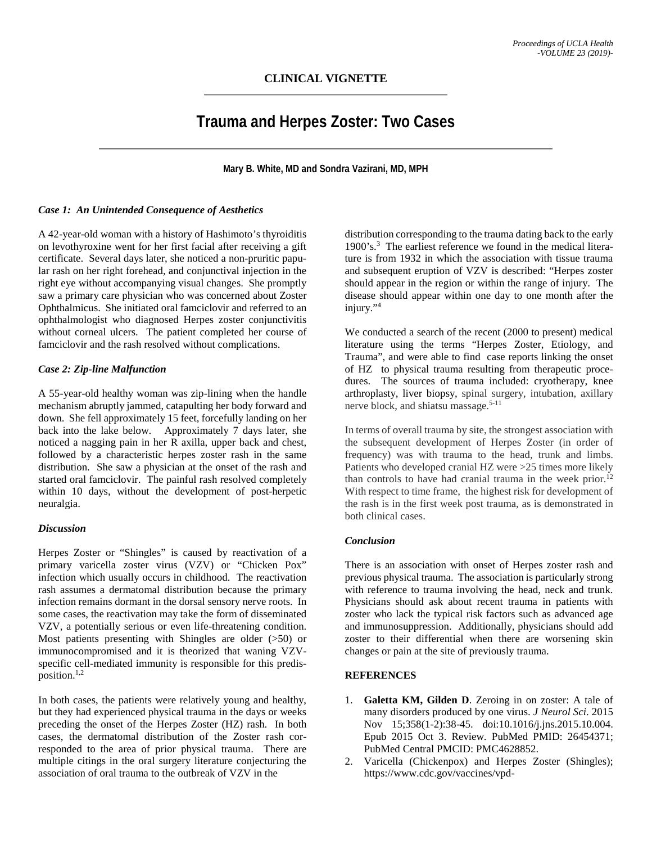# **Trauma and Herpes Zoster: Two Cases**

**Mary B. White, MD and Sondra Vazirani, MD, MPH**

## *Case 1: An Unintended Consequence of Aesthetics*

A 42-year-old woman with a history of Hashimoto's thyroiditis on levothyroxine went for her first facial after receiving a gift certificate. Several days later, she noticed a non-pruritic papular rash on her right forehead, and conjunctival injection in the right eye without accompanying visual changes. She promptly saw a primary care physician who was concerned about Zoster Ophthalmicus. She initiated oral famciclovir and referred to an ophthalmologist who diagnosed Herpes zoster conjunctivitis without corneal ulcers. The patient completed her course of famciclovir and the rash resolved without complications.

## *Case 2: Zip-line Malfunction*

A 55-year-old healthy woman was zip-lining when the handle mechanism abruptly jammed, catapulting her body forward and down. She fell approximately 15 feet, forcefully landing on her back into the lake below. Approximately 7 days later, she noticed a nagging pain in her R axilla, upper back and chest, followed by a characteristic herpes zoster rash in the same distribution. She saw a physician at the onset of the rash and started oral famciclovir. The painful rash resolved completely within 10 days, without the development of post-herpetic neuralgia.

#### *Discussion*

Herpes Zoster or "Shingles" is caused by reactivation of a primary varicella zoster virus (VZV) or "Chicken Pox" infection which usually occurs in childhood. The reactivation rash assumes a dermatomal distribution because the primary infection remains dormant in the dorsal sensory nerve roots. In some cases, the reactivation may take the form of disseminated VZV, a potentially serious or even life-threatening condition. Most patients presenting with Shingles are older (>50) or immunocompromised and it is theorized that waning VZVspecific cell-mediated immunity is responsible for this predisposition. $1,2$ 

In both cases, the patients were relatively young and healthy, but they had experienced physical trauma in the days or weeks preceding the onset of the Herpes Zoster (HZ) rash. In both cases, the dermatomal distribution of the Zoster rash corresponded to the area of prior physical trauma. There are multiple citings in the oral surgery literature conjecturing the association of oral trauma to the outbreak of VZV in the

distribution corresponding to the trauma dating back to the early 1900's.3 The earliest reference we found in the medical literature is from 1932 in which the association with tissue trauma and subsequent eruption of VZV is described: "Herpes zoster should appear in the region or within the range of injury. The disease should appear within one day to one month after the injury."4

We conducted a search of the recent (2000 to present) medical literature using the terms "Herpes Zoster, Etiology, and Trauma", and were able to find case reports linking the onset of HZ to physical trauma resulting from therapeutic procedures. The sources of trauma included: cryotherapy, knee arthroplasty, liver biopsy, spinal surgery, intubation, axillary nerve block, and shiatsu massage.<sup>5-11</sup>

In terms of overall trauma by site, the strongest association with the subsequent development of Herpes Zoster (in order of frequency) was with trauma to the head, trunk and limbs. Patients who developed cranial HZ were >25 times more likely than controls to have had cranial trauma in the week prior.<sup>12</sup> With respect to time frame, the highest risk for development of the rash is in the first week post trauma, as is demonstrated in both clinical cases.

## *Conclusion*

There is an association with onset of Herpes zoster rash and previous physical trauma. The association is particularly strong with reference to trauma involving the head, neck and trunk. Physicians should ask about recent trauma in patients with zoster who lack the typical risk factors such as advanced age and immunosuppression. Additionally, physicians should add zoster to their differential when there are worsening skin changes or pain at the site of previously trauma.

## **REFERENCES**

- 1. **Galetta KM, Gilden D**. Zeroing in on zoster: A tale of many disorders produced by one virus. *J Neurol Sci*. 2015 Nov 15;358(1-2):38-45. doi:10.1016/j.jns.2015.10.004. Epub 2015 Oct 3. Review. PubMed PMID: 26454371; PubMed Central PMCID: PMC4628852.
- 2. Varicella (Chickenpox) and Herpes Zoster (Shingles); https://www.cdc.gov/vaccines/vpd-